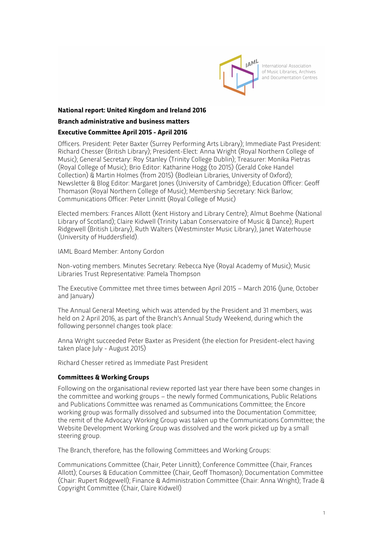

### **National report: United Kingdom and Ireland 2016**

### **Branch administrative and business matters**

### **Executive Committee April 2015 - April 2016**

Officers. President: Peter Baxter (Surrey Performing Arts Library); Immediate Past President: Richard Chesser (British Library); President-Elect: Anna Wright (Royal Northern College of Music); General Secretary: Roy Stanley (Trinity College Dublin); Treasurer: Monika Pietras (Royal College of Music); Brio Editor: Katharine Hogg (to 2015) (Gerald Coke Handel Collection) & Martin Holmes (from 2015) (Bodleian Libraries, University of Oxford); Newsletter & Blog Editor: Margaret Jones (University of Cambridge); Education Officer: Geoff Thomason (Royal Northern College of Music); Membership Secretary: Nick Barlow; Communications Officer: Peter Linnitt (Royal College of Music)

Elected members: Frances Allott (Kent History and Library Centre); Almut Boehme (National Library of Scotland); Claire Kidwell (Trinity Laban Conservatoire of Music & Dance); Rupert Ridgewell (British Library), Ruth Walters (Westminster Music Library), Janet Waterhouse (University of Huddersfield).

IAML Board Member: Antony Gordon

Non-voting members. Minutes Secretary: Rebecca Nye (Royal Academy of Music); Music Libraries Trust Representative: Pamela Thompson

The Executive Committee met three times between April 2015 – March 2016 (June, October and January)

The Annual General Meeting, which was attended by the President and 31 members, was held on 2 April 2016, as part of the Branch's Annual Study Weekend, during which the following personnel changes took place:

Anna Wright succeeded Peter Baxter as President (the election for President-elect having taken place July - August 2015)

Richard Chesser retired as Immediate Past President

### **Committees & Working Groups**

Following on the organisational review reported last year there have been some changes in the committee and working groups – the newly formed Communications, Public Relations and Publications Committee was renamed as Communications Committee; the Encore working group was formally dissolved and subsumed into the Documentation Committee; the remit of the Advocacy Working Group was taken up the Communications Committee; the Website Development Working Group was dissolved and the work picked up by a small steering group.

The Branch, therefore, has the following Committees and Working Groups:

Communications Committee (Chair, Peter Linnitt); Conference Committee (Chair, Frances Allott); Courses & Education Committee (Chair, Geoff Thomason); Documentation Committee (Chair: Rupert Ridgewell); Finance & Administration Committee (Chair: Anna Wright); Trade & Copyright Committee (Chair, Claire Kidwell)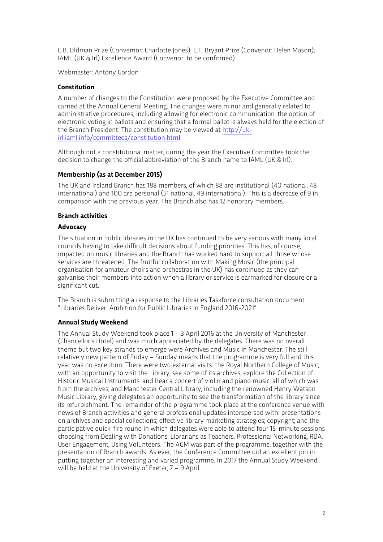C.B. Oldman Prize (Convemor: Charlotte Jones); E.T. Bryant Prize (Convenor: Helen Mason); IAML (UK & Irl) Excellence Award (Convenor: to be confirmed)

Webmaster: Antony Gordon

### **Constitution**

A number of changes to the Constitution were proposed by the Executive Committee and carried at the Annual General Meeting. The changes were minor and generally related to administrative procedures, including allowing for electronic communication, the option of electronic voting in ballots and ensuring that a formal ballot is always held for the election of the Branch President. The constitution may be viewed at http://ukirl.iaml.info/committees/constitution.html

Although not a constitutional matter, during the year the Executive Committee took the decision to change the official abbreviation of the Branch name to IAML (UK & Irl).

## **Membership (as at December 2015)**

The UK and Ireland Branch has 188 members, of which 88 are institutional (40 national, 48 international) and 100 are personal (51 national, 49 international). This is a decrease of 9 in comparison with the previous year. The Branch also has 12 honorary members.

### **Branch activities**

### **Advocacy**

The situation in public libraries in the UK has continued to be very serious with many local councils having to take difficult decisions about funding priorities. This has, of course, impacted on music libraries and the Branch has worked hard to support all those whose services are threatened. The fruitful collaboration with Making Music (the principal organisation for amateur choirs and orchestras in the UK) has continued as they can galvanise their members into action when a library or service is earmarked for closure or a significant cut.

The Branch is submitting a response to the Libraries Taskforce consultation document "Libraries Deliver: Ambition for Public Libraries in England 2016-2021"

## **Annual Study Weekend**

The Annual Study Weekend took place 1 – 3 April 2016 at the University of Manchester (Chancellor's Hotel) and was much appreciated by the delegates. There was no overall theme but two key strands to emerge were Archives and Music in Manchester. The still relatively new pattern of Friday – Sunday means that the programme is very full and this year was no exception. There were two external visits: the Royal Northern College of Music, with an opportunity to visit the Library, see some of its archives, explore the Collection of Historic Musical Instruments, and hear a concert of violin and piano music, all of which was from the archives; and Manchester Central Library, including the renowned Henry Watson Music Library, giving delegates an opportunity to see the transformation of the library since its refurbishment. The remainder of the programme took place at the conference venue with news of Branch activities and general professional updates interspersed with: presentations on archives and special collections; effective library marketing strategies; copyright; and the participative quick-fire round in which delegates were able to attend four 15-minute sessions choosing from Dealing with Donations, Librarians as Teachers, Professional Networking, RDA, User Engagement, Using Volunteers. The AGM was part of the programme, together with the presentation of Branch awards. As ever, the Conference Committee did an excellent job in putting together an interesting and varied programme. In 2017 the Annual Study Weekend will be held at the University of Exeter, 7 – 9 April.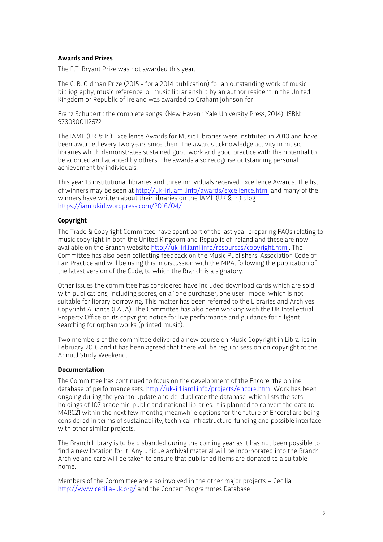## **Awards and Prizes**

The E.T. Bryant Prize was not awarded this year.

The C. B. Oldman Prize (2015 - for a 2014 publication) for an outstanding work of music bibliography, music reference, or music librarianship by an author resident in the United Kingdom or Republic of Ireland was awarded to Graham Johnson for

Franz Schubert : the complete songs. (New Haven : Yale University Press, 2014). ISBN: 9780300112672

The IAML (UK & Irl) Excellence Awards for Music Libraries were instituted in 2010 and have been awarded every two years since then. The awards acknowledge activity in music libraries which demonstrates sustained good work and good practice with the potential to be adopted and adapted by others. The awards also recognise outstanding personal achievement by individuals.

This year 13 institutional libraries and three individuals received Excellence Awards. The list of winners may be seen at http://uk-irl.iaml.info/awards/excellence.html and many of the winners have written about their libraries on the IAML (UK & Irl) blog https://iamlukirl.wordpress.com/2016/04/

## **Copyright**

The Trade & Copyright Committee have spent part of the last year preparing FAQs relating to music copyright in both the United Kingdom and Republic of Ireland and these are now available on the Branch website http://uk-irl.iaml.info/resources/copyright.html. The Committee has also been collecting feedback on the Music Publishers' Association Code of Fair Practice and will be using this in discussion with the MPA, following the publication of the latest version of the Code, to which the Branch is a signatory.

Other issues the committee has considered have included download cards which are sold with publications, including scores, on a "one purchaser, one user" model which is not suitable for library borrowing. This matter has been referred to the Libraries and Archives Copyright Alliance (LACA). The Committee has also been working with the UK Intellectual Property Office on its copyright notice for live performance and guidance for diligent searching for orphan works (printed music).

Two members of the committee delivered a new course on Music Copyright in Libraries in February 2016 and it has been agreed that there will be regular session on copyright at the Annual Study Weekend.

### **Documentation**

The Committee has continued to focus on the development of the Encore! the online database of performance sets. http://uk-irl.iaml.info/projects/encore.html Work has been ongoing during the year to update and de-duplicate the database, which lists the sets holdings of 107 academic, public and national libraries. It is planned to convert the data to MARC21 within the next few months; meanwhile options for the future of Encore! are being considered in terms of sustainability, technical infrastructure, funding and possible interface with other similar projects.

The Branch Library is to be disbanded during the coming year as it has not been possible to find a new location for it. Any unique archival material will be incorporated into the Branch Archive and care will be taken to ensure that published items are donated to a suitable home.

Members of the Committee are also involved in the other major projects – Cecilia http://www.cecilia-uk.org/ and the Concert Programmes Database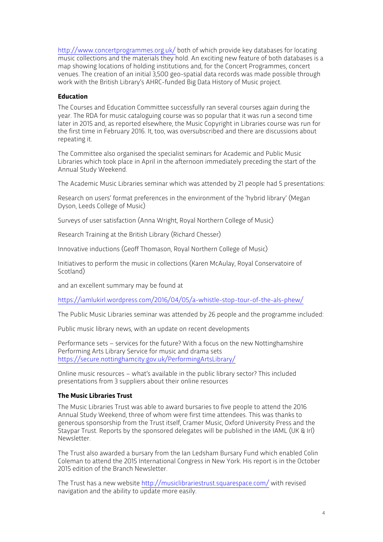http://www.concertprogrammes.org.uk/ both of which provide key databases for locating music collections and the materials they hold. An exciting new feature of both databases is a map showing locations of holding institutions and, for the Concert Programmes, concert venues. The creation of an initial 3,500 geo-spatial data records was made possible through work with the British Library's AHRC-funded Big Data History of Music project.

### **Education**

The Courses and Education Committee successfully ran several courses again during the year. The RDA for music cataloguing course was so popular that it was run a second time later in 2015 and, as reported elsewhere, the Music Copyright in Libraries course was run for the first time in February 2016. It, too, was oversubscribed and there are discussions about repeating it.

The Committee also organised the specialist seminars for Academic and Public Music Libraries which took place in April in the afternoon immediately preceding the start of the Annual Study Weekend.

The Academic Music Libraries seminar which was attended by 21 people had 5 presentations:

Research on users' format preferences in the environment of the 'hybrid library' (Megan Dyson, Leeds College of Music)

Surveys of user satisfaction (Anna Wright, Royal Northern College of Music)

Research Training at the British Library (Richard Chesser)

Innovative inductions (Geoff Thomason, Royal Northern College of Music)

Initiatives to perform the music in collections (Karen McAulay, Royal Conservatoire of Scotland)

and an excellent summary may be found at

https://iamlukirl.wordpress.com/2016/04/05/a-whistle-stop-tour-of-the-als-phew/

The Public Music Libraries seminar was attended by 26 people and the programme included:

Public music library news, with an update on recent developments

Performance sets – services for the future? With a focus on the new Nottinghamshire Performing Arts Library Service for music and drama sets https://secure.nottinghamcity.gov.uk/PerformingArtsLibrary/

Online music resources – what's available in the public library sector? This included presentations from 3 suppliers about their online resources

## **The Music Libraries Trust**

The Music Libraries Trust was able to award bursaries to five people to attend the 2016 Annual Study Weekend, three of whom were first time attendees. This was thanks to generous sponsorship from the Trust itself, Cramer Music, Oxford University Press and the Staypar Trust. Reports by the sponsored delegates will be published in the IAML (UK & Irl) Newsletter.

The Trust also awarded a bursary from the Ian Ledsham Bursary Fund which enabled Colin Coleman to attend the 2015 International Congress in New York. His report is in the October 2015 edition of the Branch Newsletter.

The Trust has a new website http://musiclibrariestrust.squarespace.com/ with revised navigation and the ability to update more easily.